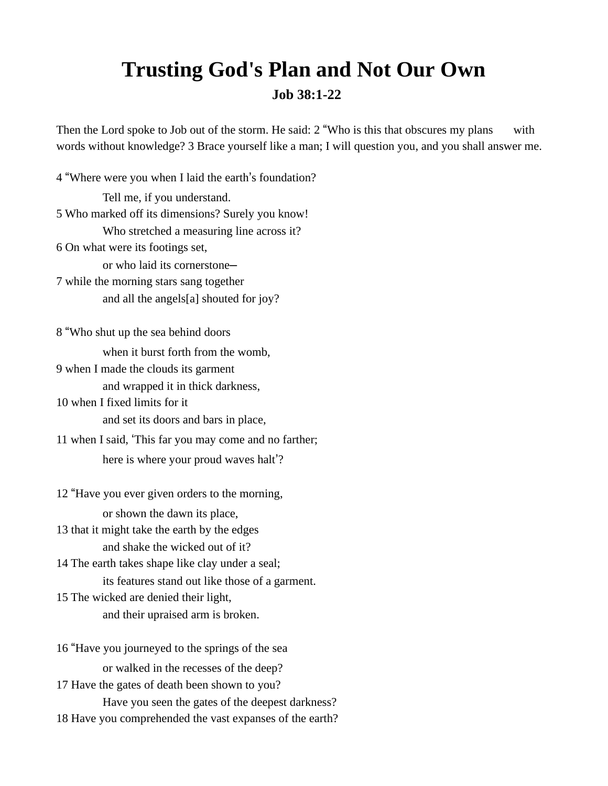## **Trusting God's Plan and Not Our Own Job 38:1-22**

Then the Lord spoke to Job out of the storm. He said: 2 "Who is this that obscures my plans with words without knowledge? 3 Brace yourself like a man; I will question you, and you shall answer me.

4 "Where were you when I laid the earth's foundation? Tell me, if you understand. 5 Who marked off its dimensions? Surely you know! Who stretched a measuring line across it? 6 On what were its footings set, or who laid its cornerstone— 7 while the morning stars sang together and all the angels[a] shouted for joy? 8 "Who shut up the sea behind doors when it burst forth from the womb, 9 when I made the clouds its garment and wrapped it in thick darkness, 10 when I fixed limits for it and set its doors and bars in place, 11 when I said, 'This far you may come and no farther; here is where your proud waves halt'? 12 "Have you ever given orders to the morning, or shown the dawn its place,

13 that it might take the earth by the edges and shake the wicked out of it?

14 The earth takes shape like clay under a seal; its features stand out like those of a garment.

15 The wicked are denied their light, and their upraised arm is broken.

16 "Have you journeyed to the springs of the sea or walked in the recesses of the deep? 17 Have the gates of death been shown to you? Have you seen the gates of the deepest darkness? 18 Have you comprehended the vast expanses of the earth?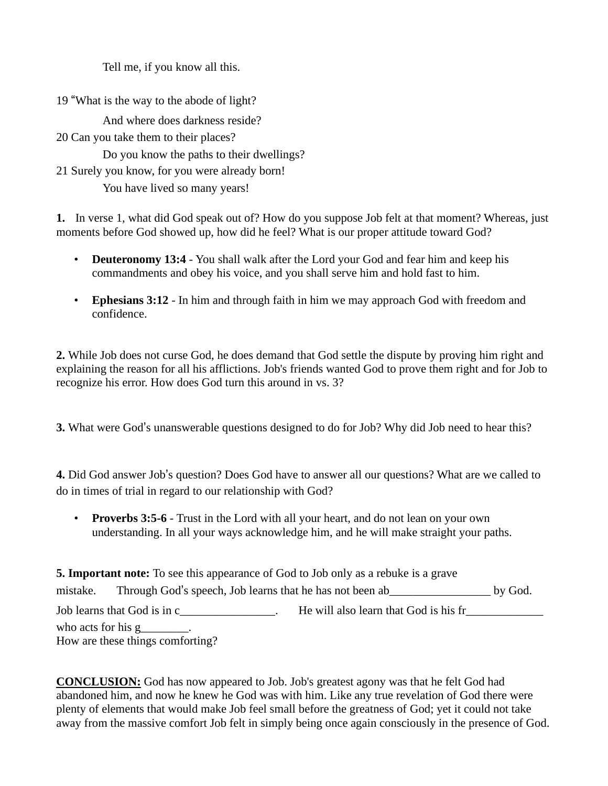Tell me, if you know all this.

19 "What is the way to the abode of light?

And where does darkness reside?

20 Can you take them to their places?

Do you know the paths to their dwellings?

21 Surely you know, for you were already born!

You have lived so many years!

**1.** In verse 1, what did God speak out of? How do you suppose Job felt at that moment? Whereas, just moments before God showed up, how did he feel? What is our proper attitude toward God?

- **Deuteronomy 13:4** You shall walk after the Lord your God and fear him and keep his commandments and obey his voice, and you shall serve him and hold fast to him.
- **Ephesians 3:12**  In him and through faith in him we may approach God with freedom and confidence.

**2.** While Job does not curse God, he does demand that God settle the dispute by proving him right and explaining the reason for all his afflictions. Job's friends wanted God to prove them right and for Job to recognize his error. How does God turn this around in vs. 3?

**3.** What were God's unanswerable questions designed to do for Job? Why did Job need to hear this?

**4.** Did God answer Job's question? Does God have to answer all our questions? What are we called to do in times of trial in regard to our relationship with God?

• **Proverbs 3:5-6** - Trust in the Lord with all your heart, and do not lean on your own understanding. In all your ways acknowledge him, and he will make straight your paths.

| <b>5. Important note:</b> To see this appearance of God to Job only as a rebuke is a grave |                                                          |                                       |         |
|--------------------------------------------------------------------------------------------|----------------------------------------------------------|---------------------------------------|---------|
| mistake.                                                                                   | Through God's speech, Job learns that he has not been ab |                                       | by God. |
|                                                                                            | Job learns that God is in c                              | He will also learn that God is his fr |         |
| who acts for his $g$ ________.                                                             |                                                          |                                       |         |
| How are these things comforting?                                                           |                                                          |                                       |         |

**CONCLUSION:** God has now appeared to Job. Job's greatest agony was that he felt God had abandoned him, and now he knew he God was with him. Like any true revelation of God there were plenty of elements that would make Job feel small before the greatness of God; yet it could not take away from the massive comfort Job felt in simply being once again consciously in the presence of God.